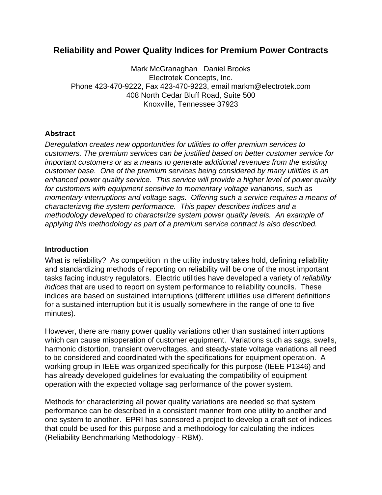# **Reliability and Power Quality Indices for Premium Power Contracts**

Mark McGranaghan Daniel Brooks Electrotek Concepts, Inc. Phone 423-470-9222, Fax 423-470-9223, email markm@electrotek.com 408 North Cedar Bluff Road, Suite 500 Knoxville, Tennessee 37923

#### **Abstract**

*Deregulation creates new opportunities for utilities to offer premium services to customers. The premium services can be justified based on better customer service for important customers or as a means to generate additional revenues from the existing customer base. One of the premium services being considered by many utilities is an enhanced power quality service. This service will provide a higher level of power quality for customers with equipment sensitive to momentary voltage variations, such as momentary interruptions and voltage sags. Offering such a service requires a means of characterizing the system performance. This paper describes indices and a methodology developed to characterize system power quality levels. An example of applying this methodology as part of a premium service contract is also described.*

#### **Introduction**

What is reliability? As competition in the utility industry takes hold, defining reliability and standardizing methods of reporting on reliability will be one of the most important tasks facing industry regulators. Electric utilities have developed a variety of *reliability indices* that are used to report on system performance to reliability councils. These indices are based on sustained interruptions (different utilities use different definitions for a sustained interruption but it is usually somewhere in the range of one to five minutes).

However, there are many power quality variations other than sustained interruptions which can cause misoperation of customer equipment. Variations such as sags, swells, harmonic distortion, transient overvoltages, and steady-state voltage variations all need to be considered and coordinated with the specifications for equipment operation. A working group in IEEE was organized specifically for this purpose (IEEE P1346) and has already developed guidelines for evaluating the compatibility of equipment operation with the expected voltage sag performance of the power system.

Methods for characterizing all power quality variations are needed so that system performance can be described in a consistent manner from one utility to another and one system to another. EPRI has sponsored a project to develop a draft set of indices that could be used for this purpose and a methodology for calculating the indices (Reliability Benchmarking Methodology - RBM).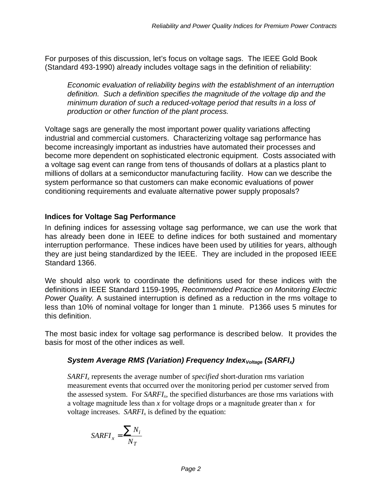For purposes of this discussion, let's focus on voltage sags. The IEEE Gold Book (Standard 493-1990) already includes voltage sags in the definition of reliability:

*Economic evaluation of reliability begins with the establishment of an interruption definition. Such a definition specifies the magnitude of the voltage dip and the minimum duration of such a reduced-voltage period that results in a loss of production or other function of the plant process.*

Voltage sags are generally the most important power quality variations affecting industrial and commercial customers. Characterizing voltage sag performance has become increasingly important as industries have automated their processes and become more dependent on sophisticated electronic equipment. Costs associated with a voltage sag event can range from tens of thousands of dollars at a plastics plant to millions of dollars at a semiconductor manufacturing facility. How can we describe the system performance so that customers can make economic evaluations of power conditioning requirements and evaluate alternative power supply proposals?

## **Indices for Voltage Sag Performance**

In defining indices for assessing voltage sag performance, we can use the work that has already been done in IEEE to define indices for both sustained and momentary interruption performance. These indices have been used by utilities for years, although they are just being standardized by the IEEE. They are included in the proposed IEEE Standard 1366.

We should also work to coordinate the definitions used for these indices with the definitions in IEEE Standard 1159-1995*, Recommended Practice on Monitoring Electric Power Quality.* A sustained interruption is defined as a reduction in the rms voltage to less than 10% of nominal voltage for longer than 1 minute. P1366 uses 5 minutes for this definition.

The most basic index for voltage sag performance is described below. It provides the basis for most of the other indices as well.

## *System Average RMS (Variation) Frequency IndexVoltage (SARFIx)*

*SARFIx* represents the average number of *specified* short-duration rms variation measurement events that occurred over the monitoring period per customer served from the assessed system. For *SARFIx*, the specified disturbances are those rms variations with a voltage magnitude less than *x* for voltage drops or a magnitude greater than *x* for voltage increases. *SARFIx* is defined by the equation:

$$
SARFI_x = \frac{\sum N_i}{N_T}
$$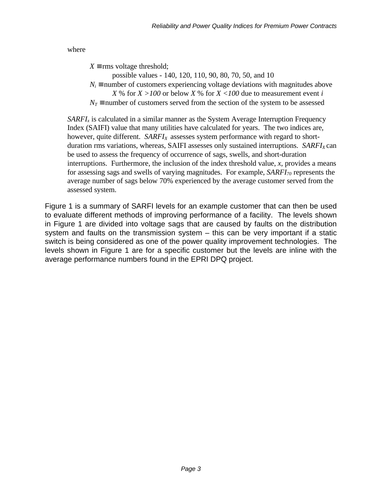where

 $X \equiv$  rms voltage threshold;

possible values - 140, 120, 110, 90, 80, 70, 50, and 10

 $N_i$  ≡ number of customers experiencing voltage deviations with magnitudes above

```
X % for X > 100 or below X % for X < 100 due to measurement event i
```
 $N_T$  ≡ number of customers served from the section of the system to be assessed

*SARFI*<sub>*x*</sub> is calculated in a similar manner as the System Average Interruption Frequency Index (SAIFI) value that many utilities have calculated for years. The two indices are, however, quite different. *SARFIX* assesses system performance with regard to shortduration rms variations, whereas, SAIFI assesses only sustained interruptions. *SARFI<sub>X</sub>* can be used to assess the frequency of occurrence of sags, swells, and short-duration interruptions. Furthermore, the inclusion of the index threshold value, *x*, provides a means for assessing sags and swells of varying magnitudes. For example, *SARFI70* represents the average number of sags below 70% experienced by the average customer served from the assessed system.

Figure 1 is a summary of SARFI levels for an example customer that can then be used to evaluate different methods of improving performance of a facility. The levels shown in Figure 1 are divided into voltage sags that are caused by faults on the distribution system and faults on the transmission system – this can be very important if a static switch is being considered as one of the power quality improvement technologies. The levels shown in Figure 1 are for a specific customer but the levels are inline with the average performance numbers found in the EPRI DPQ project.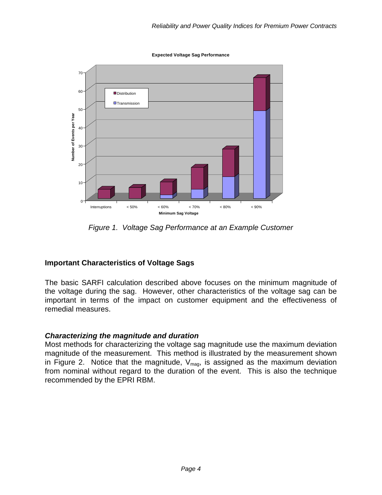**Expected Voltage Sag Performance**



*Figure 1. Voltage Sag Performance at an Example Customer*

## **Important Characteristics of Voltage Sags**

The basic SARFI calculation described above focuses on the minimum magnitude of the voltage during the sag. However, other characteristics of the voltage sag can be important in terms of the impact on customer equipment and the effectiveness of remedial measures.

#### *Characterizing the magnitude and duration*

Most methods for characterizing the voltage sag magnitude use the maximum deviation magnitude of the measurement. This method is illustrated by the measurement shown in Figure 2. Notice that the magnitude,  $V_{mag}$ , is assigned as the maximum deviation from nominal without regard to the duration of the event. This is also the technique recommended by the EPRI RBM.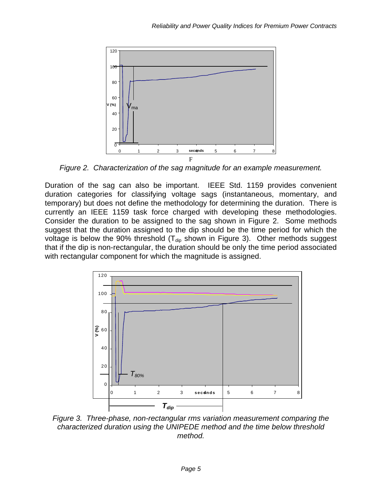

*Figure 2. Characterization of the sag magnitude for an example measurement.*

Duration of the sag can also be important. IEEE Std. 1159 provides convenient duration categories for classifying voltage sags (instantaneous, momentary, and temporary) but does not define the methodology for determining the duration. There is currently an IEEE 1159 task force charged with developing these methodologies. Consider the duration to be assigned to the sag shown in Figure 2. Some methods suggest that the duration assigned to the dip should be the time period for which the voltage is below the 90% threshold ( $T_{\text{dip}}$  shown in Figure 3). Other methods suggest that if the dip is non-rectangular, the duration should be only the time period associated with rectangular component for which the magnitude is assigned.



*Figure 3. Three-phase, non-rectangular rms variation measurement comparing the characterized duration using the UNIPEDE method and the time below threshold method.*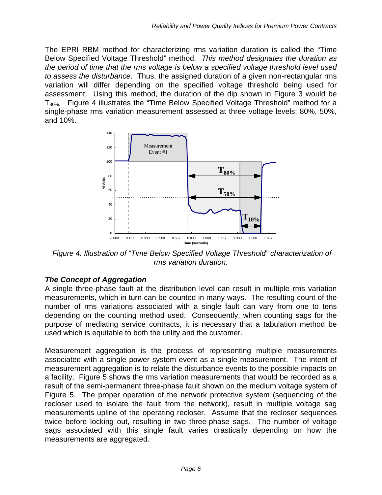The EPRI RBM method for characterizing rms variation duration is called the "Time Below Specified Voltage Threshold" method. *This method designates the duration as the period of time that the rms voltage is below a specified voltage threshold level used to assess the disturbance*. Thus, the assigned duration of a given non-rectangular rms variation will differ depending on the specified voltage threshold being used for assessment. Using this method, the duration of the dip shown in Figure 3 would be  $T_{80\%}$ . Figure 4 illustrates the "Time Below Specified Voltage Threshold" method for a single-phase rms variation measurement assessed at three voltage levels; 80%, 50%, and 10%.



 *Figure 4. Illustration of "Time Below Specified Voltage Threshold" characterization of rms variation duration.*

## *The Concept of Aggregation*

A single three-phase fault at the distribution level can result in multiple rms variation measurements, which in turn can be counted in many ways. The resulting count of the number of rms variations associated with a single fault can vary from one to tens depending on the counting method used. Consequently, when counting sags for the purpose of mediating service contracts, it is necessary that a tabulation method be used which is equitable to both the utility and the customer.

Measurement aggregation is the process of representing multiple measurements associated with a single power system event as a single measurement. The intent of measurement aggregation is to relate the disturbance events to the possible impacts on a facility. Figure 5 shows the rms variation measurements that would be recorded as a result of the semi-permanent three-phase fault shown on the medium voltage system of Figure 5. The proper operation of the network protective system (sequencing of the recloser used to isolate the fault from the network), result in multiple voltage sag measurements upline of the operating recloser. Assume that the recloser sequences twice before locking out, resulting in two three-phase sags. The number of voltage sags associated with this single fault varies drastically depending on how the measurements are aggregated.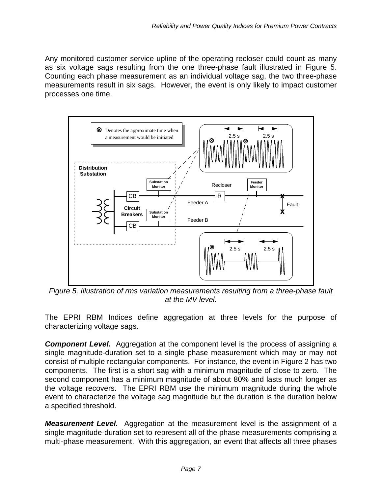Any monitored customer service upline of the operating recloser could count as many as six voltage sags resulting from the one three-phase fault illustrated in Figure 5. Counting each phase measurement as an individual voltage sag, the two three-phase measurements result in six sags. However, the event is only likely to impact customer processes one time.



*Figure 5. Illustration of rms variation measurements resulting from a three-phase fault at the MV level.*

The EPRI RBM Indices define aggregation at three levels for the purpose of characterizing voltage sags.

**Component Level.** Aggregation at the component level is the process of assigning a single magnitude-duration set to a single phase measurement which may or may not consist of multiple rectangular components. For instance, the event in Figure 2 has two components. The first is a short sag with a minimum magnitude of close to zero. The second component has a minimum magnitude of about 80% and lasts much longer as the voltage recovers. The EPRI RBM use the minimum magnitude during the whole event to characterize the voltage sag magnitude but the duration is the duration below a specified threshold.

*Measurement Level.* Aggregation at the measurement level is the assignment of a single magnitude-duration set to represent all of the phase measurements comprising a multi-phase measurement. With this aggregation, an event that affects all three phases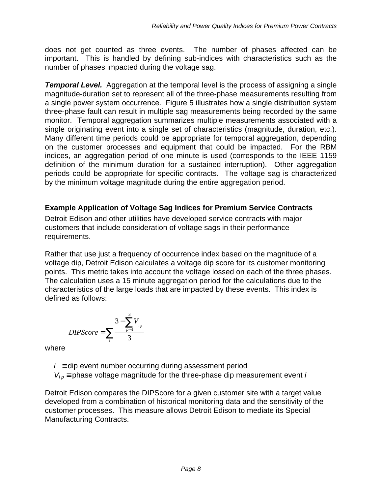does not get counted as three events. The number of phases affected can be important. This is handled by defining sub-indices with characteristics such as the number of phases impacted during the voltage sag.

**Temporal Level.** Aggregation at the temporal level is the process of assigning a single magnitude-duration set to represent all of the three-phase measurements resulting from a single power system occurrence. Figure 5 illustrates how a single distribution system three-phase fault can result in multiple sag measurements being recorded by the same monitor. Temporal aggregation summarizes multiple measurements associated with a single originating event into a single set of characteristics (magnitude, duration, etc.). Many different time periods could be appropriate for temporal aggregation, depending on the customer processes and equipment that could be impacted. For the RBM indices, an aggregation period of one minute is used (corresponds to the IEEE 1159 definition of the minimum duration for a sustained interruption). Other aggregation periods could be appropriate for specific contracts. The voltage sag is characterized by the minimum voltage magnitude during the entire aggregation period.

## **Example Application of Voltage Sag Indices for Premium Service Contracts**

Detroit Edison and other utilities have developed service contracts with major customers that include consideration of voltage sags in their performance requirements.

Rather that use just a frequency of occurrence index based on the magnitude of a voltage dip, Detroit Edison calculates a voltage dip score for its customer monitoring points. This metric takes into account the voltage lossed on each of the three phases. The calculation uses a 15 minute aggregation period for the calculations due to the characteristics of the large loads that are impacted by these events. This index is defined as follows:

$$
DIPScore = \sum_{i} \frac{3 - \sum_{p=1}^{3} V_{i_p}}{3}
$$

where

 $i \equiv$  dip event number occurring during assessment period

 $V_{Ip}$  = phase voltage magnitude for the three-phase dip measurement event *i* 

Detroit Edison compares the DIPScore for a given customer site with a target value developed from a combination of historical monitoring data and the sensitivity of the customer processes. This measure allows Detroit Edison to mediate its Special Manufacturing Contracts.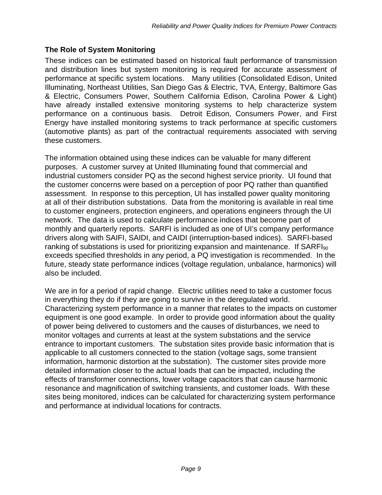## **The Role of System Monitoring**

These indices can be estimated based on historical fault performance of transmission and distribution lines but system monitoring is required for accurate assessment of performance at specific system locations. Many utilities (Consolidated Edison, United Illuminating, Northeast Utilities, San Diego Gas & Electric, TVA, Entergy, Baltimore Gas & Electric, Consumers Power, Southern California Edison, Carolina Power & Light) have already installed extensive monitoring systems to help characterize system performance on a continuous basis. Detroit Edison, Consumers Power, and First Energy have installed monitoring systems to track performance at specific customers (automotive plants) as part of the contractual requirements associated with serving these customers.

The information obtained using these indices can be valuable for many different purposes. A customer survey at United Illuminating found that commercial and industrial customers consider PQ as the second highest service priority. UI found that the customer concerns were based on a perception of poor PQ rather than quantified assessment. In response to this perception, UI has installed power quality monitoring at all of their distribution substations. Data from the monitoring is available in real time to customer engineers, protection engineers, and operations engineers through the UI network. The data is used to calculate performance indices that become part of monthly and quarterly reports. SARFI is included as one of UI's company performance drivers along with SAIFI, SAIDI, and CAIDI (interruption-based indices). SARFI-based ranking of substations is used for prioritizing expansion and maintenance. If  $SARFI<sub>90</sub>$ exceeds specified thresholds in any period, a PQ investigation is recommended. In the future, steady state performance indices (voltage regulation, unbalance, harmonics) will also be included.

We are in for a period of rapid change. Electric utilities need to take a customer focus in everything they do if they are going to survive in the deregulated world. Characterizing system performance in a manner that relates to the impacts on customer equipment is one good example. In order to provide good information about the quality of power being delivered to customers and the causes of disturbances, we need to monitor voltages and currents at least at the system substations and the service entrance to important customers. The substation sites provide basic information that is applicable to all customers connected to the station (voltage sags, some transient information, harmonic distortion at the substation). The customer sites provide more detailed information closer to the actual loads that can be impacted, including the effects of transformer connections, lower voltage capacitors that can cause harmonic resonance and magnification of switching transients, and customer loads. With these sites being monitored, indices can be calculated for characterizing system performance and performance at individual locations for contracts.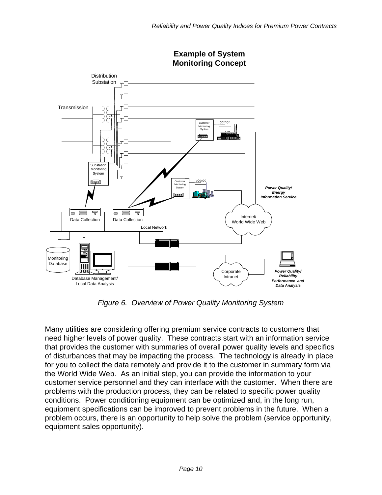

**Example of System Monitoring Concept**

*Figure 6. Overview of Power Quality Monitoring System*

Many utilities are considering offering premium service contracts to customers that need higher levels of power quality. These contracts start with an information service that provides the customer with summaries of overall power quality levels and specifics of disturbances that may be impacting the process. The technology is already in place for you to collect the data remotely and provide it to the customer in summary form via the World Wide Web. As an initial step, you can provide the information to your customer service personnel and they can interface with the customer. When there are problems with the production process, they can be related to specific power quality conditions. Power conditioning equipment can be optimized and, in the long run, equipment specifications can be improved to prevent problems in the future. When a problem occurs, there is an opportunity to help solve the problem (service opportunity, equipment sales opportunity).